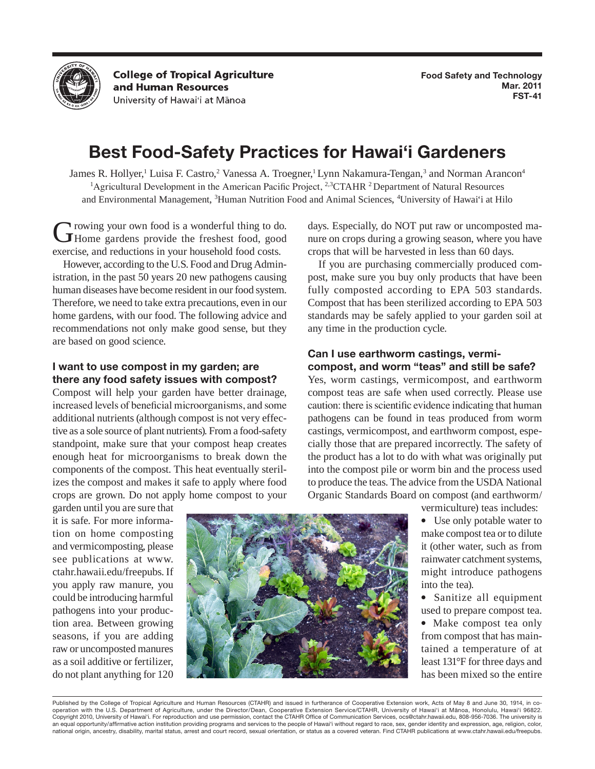

**College of Tropical Agriculture** and Human Resources University of Hawai'i at Mānoa

# **Best Food-Safety Practices for Hawai'i Gardeners**

James R. Hollyer,<sup>1</sup> Luisa F. Castro,<sup>2</sup> Vanessa A. Troegner,<sup>1</sup> Lynn Nakamura-Tengan,<sup>3</sup> and Norman Arancon<sup>4</sup> <sup>1</sup>Agricultural Development in the American Pacific Project, <sup>2,3</sup>CTAHR <sup>2</sup> Department of Natural Resources and Environmental Management, <sup>3</sup>Human Nutrition Food and Animal Sciences, <sup>4</sup>University of Hawai'i at Hilo

Growing your own food is a wonderful thing to do. Home gardens provide the freshest food, good exercise, and reductions in your household food costs.

However, according to the U.S. Food and Drug Administration, in the past 50 years 20 new pathogens causing human diseases have become resident in our food system. Therefore, we need to take extra precautions, even in our home gardens, with our food. The following advice and recommendations not only make good sense, but they are based on good science.

## **I want to use compost in my garden; are there any food safety issues with compost?**

Compost will help your garden have better drainage, increased levels of beneficial microorganisms, and some additional nutrients (although compost is not very effective as a sole source of plant nutrients). From a food-safety standpoint, make sure that your compost heap creates enough heat for microorganisms to break down the components of the compost. This heat eventually sterilizes the compost and makes it safe to apply where food crops are grown. Do not apply home compost to your

garden until you are sure that it is safe. For more information on home composting and vermicomposting, please see publications at www. ctahr.hawaii.edu/freepubs. If you apply raw manure, you could be introducing harmful pathogens into your production area. Between growing seasons, if you are adding raw or uncomposted manures as a soil additive or fertilizer, do not plant anything for 120

days. Especially, do NOT put raw or uncomposted manure on crops during a growing season, where you have crops that will be harvested in less than 60 days.

If you are purchasing commercially produced compost, make sure you buy only products that have been fully composted according to EPA 503 standards. Compost that has been sterilized according to EPA 503 standards may be safely applied to your garden soil at any time in the production cycle.

#### **Can I use earthworm castings, vermicompost, and worm "teas" and still be safe?**

Yes, worm castings, vermicompost, and earthworm compost teas are safe when used correctly. Please use caution: there is scientific evidence indicating that human pathogens can be found in teas produced from worm castings, vermicompost, and earthworm compost, especially those that are prepared incorrectly. The safety of the product has a lot to do with what was originally put into the compost pile or worm bin and the process used to produce the teas. The advice from the USDA National Organic Standards Board on compost (and earthworm/

vermiculture) teas includes:

• Use only potable water to make compost tea or to dilute it (other water, such as from rainwater catchment systems, might introduce pathogens into the tea).

• Sanitize all equipment used to prepare compost tea.

• Make compost tea only from compost that has maintained a temperature of at least 131°F for three days and has been mixed so the entire

Published by the College of Tropical Agriculture and Human Resources (CTAHR) and issued in furtherance of Cooperative Extension work, Acts of May 8 and June 30, 1914, in cooperation with the U.S. Department of Agriculture, under the Director/Dean, Cooperative Extension Service/CTAHR, University of Hawai'i at Mānoa, Honolulu, Hawai'i 96822. Copyright 2010, University of Hawai'i. For reproduction and use permission, contact the CTAHR Office of Communication Services, ocs@ctahr.hawaii.edu, 808-956-7036. The university is an equal opportunity/affirmative action institution providing programs and services to the people of Hawai'i without regard to race, sex, gender identity and expression, age, religion, color, national origin, ancestry, disability, marital status, arrest and court record, sexual orientation, or status as a covered veteran. Find CTAHR publications at www.ctahr.hawaii.edu/freepubs.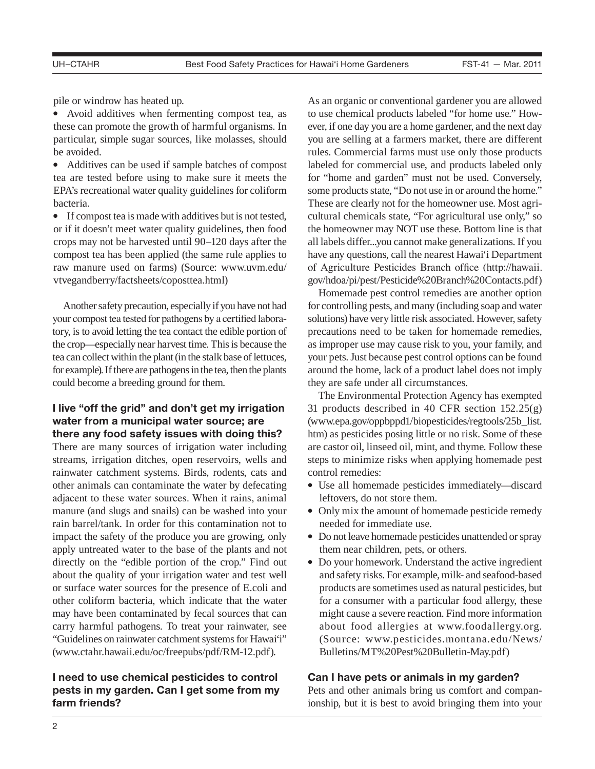pile or windrow has heated up.

• Avoid additives when fermenting compost tea, as these can promote the growth of harmful organisms. In particular, simple sugar sources, like molasses, should be avoided.

• Additives can be used if sample batches of compost tea are tested before using to make sure it meets the EPA's recreational water quality guidelines for coliform bacteria.

• If compost tea is made with additives but is not tested, or if it doesn't meet water quality guidelines, then food crops may not be harvested until 90–120 days after the compost tea has been applied (the same rule applies to raw manure used on farms) (Source: www.uvm.edu/ vtvegandberry/factsheets/coposttea.html)

Another safety precaution, especially if you have not had your compost tea tested for pathogens by a certified laboratory, is to avoid letting the tea contact the edible portion of the crop—especially near harvest time. This is because the tea can collect within the plant (in the stalk base of lettuces, for example). If there are pathogens in the tea, then the plants could become a breeding ground for them.

# **I live "off the grid" and don't get my irrigation water from a municipal water source; are there any food safety issues with doing this?**

There are many sources of irrigation water including streams, irrigation ditches, open reservoirs, wells and rainwater catchment systems. Birds, rodents, cats and other animals can contaminate the water by defecating adjacent to these water sources. When it rains, animal manure (and slugs and snails) can be washed into your rain barrel/tank. In order for this contamination not to impact the safety of the produce you are growing, only apply untreated water to the base of the plants and not directly on the "edible portion of the crop." Find out about the quality of your irrigation water and test well or surface water sources for the presence of E.coli and other coliform bacteria, which indicate that the water may have been contaminated by fecal sources that can carry harmful pathogens. To treat your rainwater, see "Guidelines on rainwater catchment systems for Hawai'i" (www.ctahr.hawaii.edu/oc/freepubs/pdf/RM-12.pdf).

# **I need to use chemical pesticides to control pests in my garden. Can I get some from my farm friends?**

As an organic or conventional gardener you are allowed to use chemical products labeled "for home use." However, if one day you are a home gardener, and the next day you are selling at a farmers market, there are different rules. Commercial farms must use only those products labeled for commercial use, and products labeled only for "home and garden" must not be used. Conversely, some products state, "Do not use in or around the home." These are clearly not for the homeowner use. Most agricultural chemicals state, "For agricultural use only," so the homeowner may NOT use these. Bottom line is that all labels differ...you cannot make generalizations. If you have any questions, call the nearest Hawai'i Department of Agriculture Pesticides Branch office (http://hawaii. gov/hdoa/pi/pest/Pesticide%20Branch%20Contacts.pdf)

Homemade pest control remedies are another option for controlling pests, and many (including soap and water solutions) have very little risk associated. However, safety precautions need to be taken for homemade remedies, as improper use may cause risk to you, your family, and your pets. Just because pest control options can be found around the home, lack of a product label does not imply they are safe under all circumstances.

The Environmental Protection Agency has exempted 31 products described in 40 CFR section 152.25(g) (www.epa.gov/oppbppd1/biopesticides/regtools/25b\_list. htm) as pesticides posing little or no risk. Some of these are castor oil, linseed oil, mint, and thyme. Follow these steps to minimize risks when applying homemade pest control remedies:

- Use all homemade pesticides immediately—discard leftovers, do not store them.
- Only mix the amount of homemade pesticide remedy needed for immediate use.
- Do not leave homemade pesticides unattended or spray them near children, pets, or others.
- Do your homework. Understand the active ingredient and safety risks. For example, milk- and seafood-based products are sometimes used as natural pesticides, but for a consumer with a particular food allergy, these might cause a severe reaction. Find more information about food allergies at www.foodallergy.org. (Source: www.pesticides.montana.edu/News/ Bulletins/MT%20Pest%20Bulletin-May.pdf)

#### **Can I have pets or animals in my garden?**

Pets and other animals bring us comfort and companionship, but it is best to avoid bringing them into your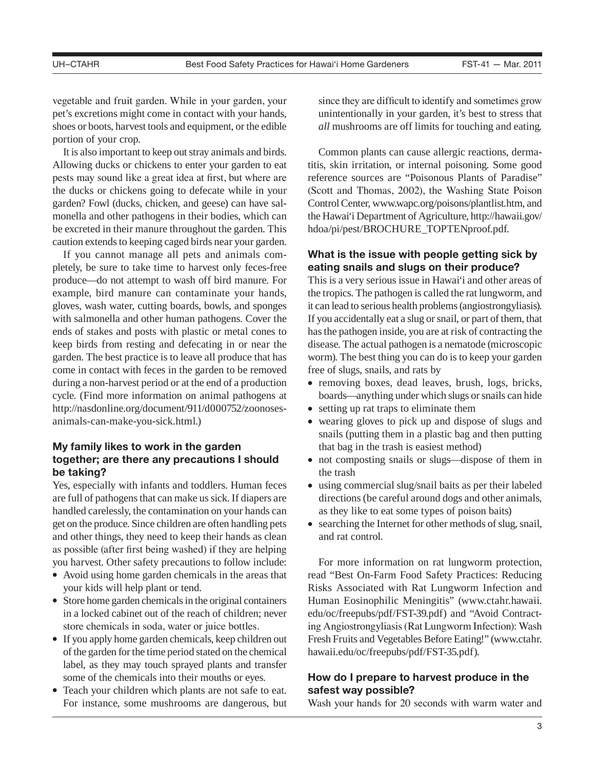vegetable and fruit garden. While in your garden, your pet's excretions might come in contact with your hands, shoes or boots, harvest tools and equipment, or the edible portion of your crop.

It is also important to keep out stray animals and birds. Allowing ducks or chickens to enter your garden to eat pests may sound like a great idea at first, but where are the ducks or chickens going to defecate while in your garden? Fowl (ducks, chicken, and geese) can have salmonella and other pathogens in their bodies, which can be excreted in their manure throughout the garden. This caution extends to keeping caged birds near your garden.

If you cannot manage all pets and animals completely, be sure to take time to harvest only feces-free produce—do not attempt to wash off bird manure. For example, bird manure can contaminate your hands, gloves, wash water, cutting boards, bowls, and sponges with salmonella and other human pathogens. Cover the ends of stakes and posts with plastic or metal cones to keep birds from resting and defecating in or near the garden. The best practice is to leave all produce that has come in contact with feces in the garden to be removed during a non-harvest period or at the end of a production cycle. (Find more information on animal pathogens at http://nasdonline.org/document/911/d000752/zoonosesanimals-can-make-you-sick.html.)

# **My family likes to work in the garden together; are there any precautions I should be taking?**

Yes, especially with infants and toddlers. Human feces are full of pathogens that can make us sick. If diapers are handled carelessly, the contamination on your hands can get on the produce. Since children are often handling pets and other things, they need to keep their hands as clean as possible (after first being washed) if they are helping you harvest. Other safety precautions to follow include:

- Avoid using home garden chemicals in the areas that your kids will help plant or tend.
- Store home garden chemicals in the original containers in a locked cabinet out of the reach of children; never store chemicals in soda, water or juice bottles.
- If you apply home garden chemicals, keep children out of the garden for the time period stated on the chemical label, as they may touch sprayed plants and transfer some of the chemicals into their mouths or eyes.
- Teach your children which plants are not safe to eat. For instance, some mushrooms are dangerous, but

since they are difficult to identify and sometimes grow unintentionally in your garden, it's best to stress that *all* mushrooms are off limits for touching and eating.

Common plants can cause allergic reactions, dermatitis, skin irritation, or internal poisoning. Some good reference sources are "Poisonous Plants of Paradise" (Scott and Thomas, 2002), the Washing State Poison Control Center, www.wapc.org/poisons/plantlist.htm, and the Hawai'i Department of Agriculture, http://hawaii.gov/ hdoa/pi/pest/BROCHURE\_TOPTENproof.pdf.

## **What is the issue with people getting sick by eating snails and slugs on their produce?**

This is a very serious issue in Hawai'i and other areas of the tropics. The pathogen is called the rat lungworm, and it can lead to serious health problems (angiostrongyliasis). If you accidentally eat a slug or snail, or part of them, that has the pathogen inside, you are at risk of contracting the disease. The actual pathogen is a nematode (microscopic worm). The best thing you can do is to keep your garden free of slugs, snails, and rats by

- removing boxes, dead leaves, brush, logs, bricks, boards—anything under which slugs or snails can hide
- setting up rat traps to eliminate them
- wearing gloves to pick up and dispose of slugs and snails (putting them in a plastic bag and then putting that bag in the trash is easiest method)
- not composting snails or slugs—dispose of them in the trash
- using commercial slug/snail baits as per their labeled directions (be careful around dogs and other animals, as they like to eat some types of poison baits)
- searching the Internet for other methods of slug, snail, and rat control.

For more information on rat lungworm protection, read "Best On-Farm Food Safety Practices: Reducing Risks Associated with Rat Lungworm Infection and Human Eosinophilic Meningitis" (www.ctahr.hawaii. edu/oc/freepubs/pdf/FST-39.pdf) and "Avoid Contracting Angiostrongyliasis (Rat Lungworm Infection): Wash Fresh Fruits and Vegetables Before Eating!" (www.ctahr. hawaii.edu/oc/freepubs/pdf/FST-35.pdf).

# **How do I prepare to harvest produce in the safest way possible?**

Wash your hands for 20 seconds with warm water and